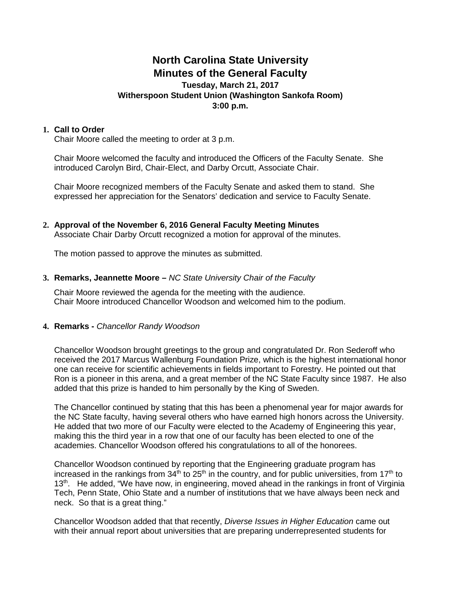# **North Carolina State University Minutes of the General Faculty**

#### **Tuesday, March 21, 2017 Witherspoon Student Union (Washington Sankofa Room) 3:00 p.m.**

## **1. Call to Order**

Chair Moore called the meeting to order at 3 p.m.

Chair Moore welcomed the faculty and introduced the Officers of the Faculty Senate. She introduced Carolyn Bird, Chair-Elect, and Darby Orcutt, Associate Chair.

Chair Moore recognized members of the Faculty Senate and asked them to stand. She expressed her appreciation for the Senators' dedication and service to Faculty Senate.

#### **2. Approval of the November 6, 2016 General Faculty Meeting Minutes** Associate Chair Darby Orcutt recognized a motion for approval of the minutes.

The motion passed to approve the minutes as submitted.

## **3. Remarks, Jeannette Moore –** *NC State University Chair of the Faculty*

Chair Moore reviewed the agenda for the meeting with the audience. Chair Moore introduced Chancellor Woodson and welcomed him to the podium.

## **4. Remarks -** *Chancellor Randy Woodson*

Chancellor Woodson brought greetings to the group and congratulated Dr. Ron Sederoff who received the 2017 Marcus Wallenburg Foundation Prize, which is the highest international honor one can receive for scientific achievements in fields important to Forestry. He pointed out that Ron is a pioneer in this arena, and a great member of the NC State Faculty since 1987. He also added that this prize is handed to him personally by the King of Sweden.

The Chancellor continued by stating that this has been a phenomenal year for major awards for the NC State faculty, having several others who have earned high honors across the University. He added that two more of our Faculty were elected to the Academy of Engineering this year, making this the third year in a row that one of our faculty has been elected to one of the academies. Chancellor Woodson offered his congratulations to all of the honorees.

Chancellor Woodson continued by reporting that the Engineering graduate program has increased in the rankings from  $34<sup>th</sup>$  to  $25<sup>th</sup>$  in the country, and for public universities, from  $17<sup>th</sup>$  to 13<sup>th</sup>. He added, "We have now, in engineering, moved ahead in the rankings in front of Virginia Tech, Penn State, Ohio State and a number of institutions that we have always been neck and neck. So that is a great thing."

Chancellor Woodson added that that recently, *Diverse Issues in Higher Education* came out with their annual report about universities that are preparing underrepresented students for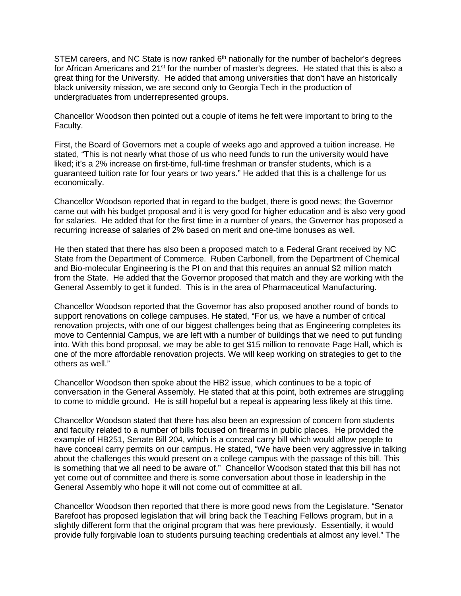STEM careers, and NC State is now ranked  $6<sup>th</sup>$  nationally for the number of bachelor's degrees for African Americans and 21<sup>st</sup> for the number of master's degrees. He stated that this is also a great thing for the University. He added that among universities that don't have an historically black university mission, we are second only to Georgia Tech in the production of undergraduates from underrepresented groups.

Chancellor Woodson then pointed out a couple of items he felt were important to bring to the Faculty.

First, the Board of Governors met a couple of weeks ago and approved a tuition increase. He stated, "This is not nearly what those of us who need funds to run the university would have liked; it's a 2% increase on first-time, full-time freshman or transfer students, which is a guaranteed tuition rate for four years or two years." He added that this is a challenge for us economically.

Chancellor Woodson reported that in regard to the budget, there is good news; the Governor came out with his budget proposal and it is very good for higher education and is also very good for salaries. He added that for the first time in a number of years, the Governor has proposed a recurring increase of salaries of 2% based on merit and one-time bonuses as well.

He then stated that there has also been a proposed match to a Federal Grant received by NC State from the Department of Commerce. Ruben Carbonell, from the Department of Chemical and Bio-molecular Engineering is the PI on and that this requires an annual \$2 million match from the State. He added that the Governor proposed that match and they are working with the General Assembly to get it funded. This is in the area of Pharmaceutical Manufacturing.

Chancellor Woodson reported that the Governor has also proposed another round of bonds to support renovations on college campuses. He stated, "For us, we have a number of critical renovation projects, with one of our biggest challenges being that as Engineering completes its move to Centennial Campus, we are left with a number of buildings that we need to put funding into. With this bond proposal, we may be able to get \$15 million to renovate Page Hall, which is one of the more affordable renovation projects. We will keep working on strategies to get to the others as well."

Chancellor Woodson then spoke about the HB2 issue, which continues to be a topic of conversation in the General Assembly. He stated that at this point, both extremes are struggling to come to middle ground. He is still hopeful but a repeal is appearing less likely at this time.

Chancellor Woodson stated that there has also been an expression of concern from students and faculty related to a number of bills focused on firearms in public places. He provided the example of HB251, Senate Bill 204, which is a conceal carry bill which would allow people to have conceal carry permits on our campus. He stated, "We have been very aggressive in talking about the challenges this would present on a college campus with the passage of this bill. This is something that we all need to be aware of." Chancellor Woodson stated that this bill has not yet come out of committee and there is some conversation about those in leadership in the General Assembly who hope it will not come out of committee at all.

Chancellor Woodson then reported that there is more good news from the Legislature. "Senator Barefoot has proposed legislation that will bring back the Teaching Fellows program, but in a slightly different form that the original program that was here previously. Essentially, it would provide fully forgivable loan to students pursuing teaching credentials at almost any level." The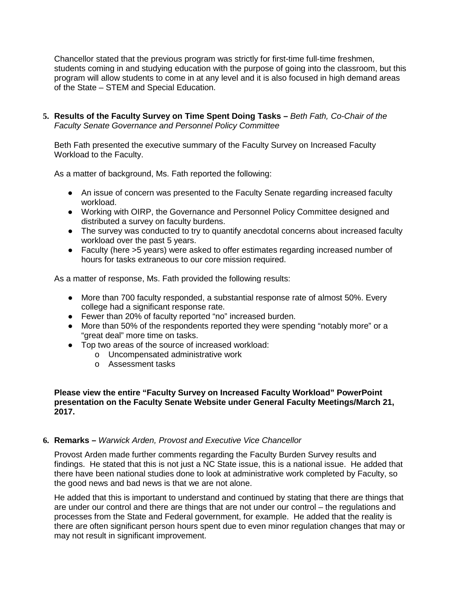Chancellor stated that the previous program was strictly for first-time full-time freshmen, students coming in and studying education with the purpose of going into the classroom, but this program will allow students to come in at any level and it is also focused in high demand areas of the State – STEM and Special Education.

**5. Results of the Faculty Survey on Time Spent Doing Tasks –** *Beth Fath, Co-Chair of the Faculty Senate Governance and Personnel Policy Committee*

Beth Fath presented the executive summary of the Faculty Survey on Increased Faculty Workload to the Faculty.

As a matter of background, Ms. Fath reported the following:

- An issue of concern was presented to the Faculty Senate regarding increased faculty workload.
- Working with OIRP, the Governance and Personnel Policy Committee designed and distributed a survey on faculty burdens.
- The survey was conducted to try to quantify anecdotal concerns about increased faculty workload over the past 5 years.
- Faculty (here >5 years) were asked to offer estimates regarding increased number of hours for tasks extraneous to our core mission required.

As a matter of response, Ms. Fath provided the following results:

- More than 700 faculty responded, a substantial response rate of almost 50%. Every college had a significant response rate.
- Fewer than 20% of faculty reported "no" increased burden.
- More than 50% of the respondents reported they were spending "notably more" or a "great deal" more time on tasks.
- Top two areas of the source of increased workload:
	- o Uncompensated administrative work
	- o Assessment tasks

#### **Please view the entire "Faculty Survey on Increased Faculty Workload" PowerPoint presentation on the Faculty Senate Website under General Faculty Meetings/March 21, 2017.**

# **6. Remarks –** *Warwick Arden, Provost and Executive Vice Chancellor*

Provost Arden made further comments regarding the Faculty Burden Survey results and findings. He stated that this is not just a NC State issue, this is a national issue. He added that there have been national studies done to look at administrative work completed by Faculty, so the good news and bad news is that we are not alone.

He added that this is important to understand and continued by stating that there are things that are under our control and there are things that are not under our control – the regulations and processes from the State and Federal government, for example. He added that the reality is there are often significant person hours spent due to even minor regulation changes that may or may not result in significant improvement.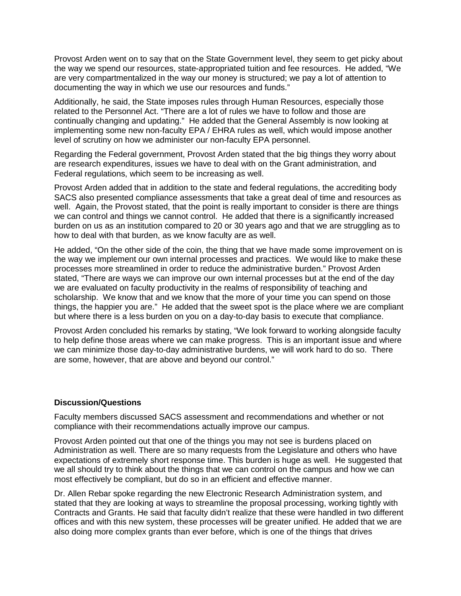Provost Arden went on to say that on the State Government level, they seem to get picky about the way we spend our resources, state-appropriated tuition and fee resources. He added, "We are very compartmentalized in the way our money is structured; we pay a lot of attention to documenting the way in which we use our resources and funds."

Additionally, he said, the State imposes rules through Human Resources, especially those related to the Personnel Act. "There are a lot of rules we have to follow and those are continually changing and updating." He added that the General Assembly is now looking at implementing some new non-faculty EPA / EHRA rules as well, which would impose another level of scrutiny on how we administer our non-faculty EPA personnel.

Regarding the Federal government, Provost Arden stated that the big things they worry about are research expenditures, issues we have to deal with on the Grant administration, and Federal regulations, which seem to be increasing as well.

Provost Arden added that in addition to the state and federal regulations, the accrediting body SACS also presented compliance assessments that take a great deal of time and resources as well. Again, the Provost stated, that the point is really important to consider is there are things we can control and things we cannot control. He added that there is a significantly increased burden on us as an institution compared to 20 or 30 years ago and that we are struggling as to how to deal with that burden, as we know faculty are as well.

He added, "On the other side of the coin, the thing that we have made some improvement on is the way we implement our own internal processes and practices. We would like to make these processes more streamlined in order to reduce the administrative burden." Provost Arden stated, "There are ways we can improve our own internal processes but at the end of the day we are evaluated on faculty productivity in the realms of responsibility of teaching and scholarship. We know that and we know that the more of your time you can spend on those things, the happier you are." He added that the sweet spot is the place where we are compliant but where there is a less burden on you on a day-to-day basis to execute that compliance.

Provost Arden concluded his remarks by stating, "We look forward to working alongside faculty to help define those areas where we can make progress. This is an important issue and where we can minimize those day-to-day administrative burdens, we will work hard to do so. There are some, however, that are above and beyond our control."

## **Discussion/Questions**

Faculty members discussed SACS assessment and recommendations and whether or not compliance with their recommendations actually improve our campus.

Provost Arden pointed out that one of the things you may not see is burdens placed on Administration as well. There are so many requests from the Legislature and others who have expectations of extremely short response time. This burden is huge as well. He suggested that we all should try to think about the things that we can control on the campus and how we can most effectively be compliant, but do so in an efficient and effective manner.

Dr. Allen Rebar spoke regarding the new Electronic Research Administration system, and stated that they are looking at ways to streamline the proposal processing, working tightly with Contracts and Grants. He said that faculty didn't realize that these were handled in two different offices and with this new system, these processes will be greater unified. He added that we are also doing more complex grants than ever before, which is one of the things that drives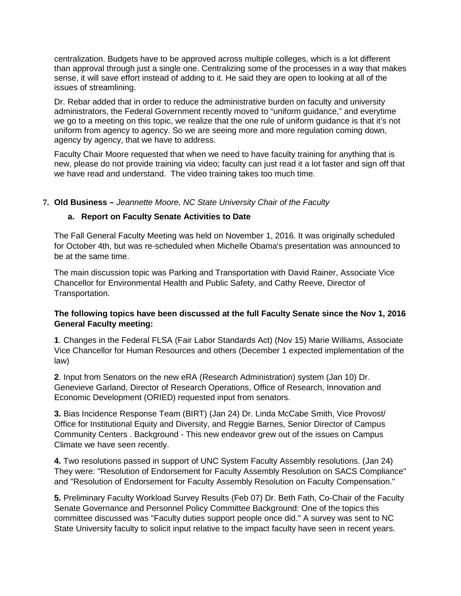centralization. Budgets have to be approved across multiple colleges, which is a lot different than approval through just a single one. Centralizing some of the processes in a way that makes sense, it will save effort instead of adding to it. He said they are open to looking at all of the issues of streamlining.

Dr. Rebar added that in order to reduce the administrative burden on faculty and university administrators, the Federal Government recently moved to "uniform guidance," and everytime we go to a meeting on this topic, we realize that the one rule of uniform guidance is that it's not uniform from agency to agency. So we are seeing more and more regulation coming down, agency by agency, that we have to address.

Faculty Chair Moore requested that when we need to have faculty training for anything that is new, please do not provide training via video; faculty can just read it a lot faster and sign off that we have read and understand. The video training takes too much time.

# **7. Old Business –** *Jeannette Moore, NC State University Chair of the Faculty*

# **a. Report on Faculty Senate Activities to Date**

The Fall General Faculty Meeting was held on November 1, 2016. It was originally scheduled for October 4th, but was re-scheduled when Michelle Obama's presentation was announced to be at the same time.

The main discussion topic was Parking and Transportation with David Rainer, Associate Vice Chancellor for Environmental Health and Public Safety, and Cathy Reeve, Director of Transportation.

# **The following topics have been discussed at the full Faculty Senate since the Nov 1, 2016 General Faculty meeting:**

**1**. Changes in the Federal FLSA (Fair Labor Standards Act) (Nov 15) Marie Williams, Associate Vice Chancellor for Human Resources and others (December 1 expected implementation of the law)

**2**. Input from Senators on the new eRA (Research Administration) system (Jan 10) Dr. Genevieve Garland, Director of Research Operations, Office of Research, Innovation and Economic Development (ORIED) requested input from senators.

**3.** Bias Incidence Response Team (BIRT) (Jan 24) Dr. Linda McCabe Smith, Vice Provost/ Office for Institutional Equity and Diversity, and Reggie Barnes, Senior Director of Campus Community Centers . Background - This new endeavor grew out of the issues on Campus Climate we have seen recently.

**4.** Two resolutions passed in support of UNC System Faculty Assembly resolutions. (Jan 24) They were: "Resolution of Endorsement for Faculty Assembly Resolution on SACS Compliance" and "Resolution of Endorsement for Faculty Assembly Resolution on Faculty Compensation."

**5.** Preliminary Faculty Workload Survey Results (Feb 07) Dr. Beth Fath, Co-Chair of the Faculty Senate Governance and Personnel Policy Committee Background: One of the topics this committee discussed was "Faculty duties support people once did." A survey was sent to NC State University faculty to solicit input relative to the impact faculty have seen in recent years.